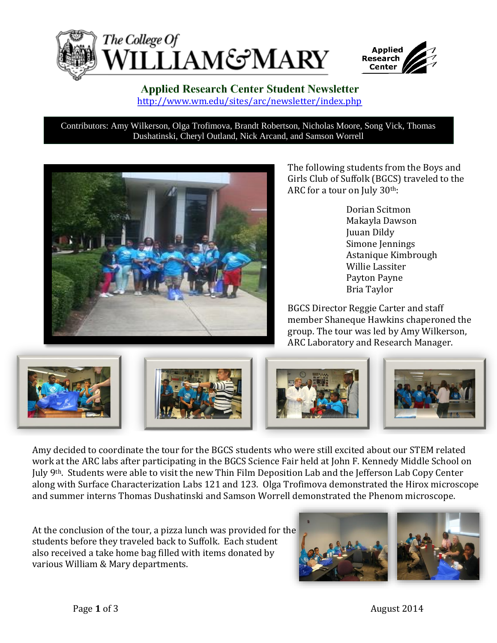



## **Applied Research Center Student Newsletter**

<http://www.wm.edu/sites/arc/newsletter/index.php>

Contributors: Amy Wilkerson, Olga Trofimova, Brandt Robertson, Nicholas Moore, Song Vick, Thomas Dushatinski, Cheryl Outland, Nick Arcand, and Samson Worrell



The following students from the Boys and Girls Club of Suffolk (BGCS) traveled to the ARC for a tour on July 30th:

> Dorian Scitmon Makayla Dawson Juuan Dildy Simone Jennings Astanique Kimbrough Willie Lassiter Payton Payne Bria Taylor

BGCS Director Reggie Carter and staff member Shaneque Hawkins chaperoned the group. The tour was led by Amy Wilkerson, ARC Laboratory and Research Manager.



and summer interns Thomas Dushatinski and Samson Worrell demonstrated the Phenom microscope. Amy decided to coordinate the tour for the BGCS students who were still excited about our STEM related work at the ARC labs after participating in the BGCS Science Fair held at John F. Kennedy Middle School on July 9th. Students were able to visit the new Thin Film Deposition Lab and the Jefferson Lab Copy Center along with Surface Characterization Labs 121 and 123. Olga Trofimova demonstrated the Hirox microscope

At the conclusion of the tour, a pizza lunch was provided for the students before they traveled back to Suffolk. Each student also received a take home bag filled with items donated by various William & Mary departments.

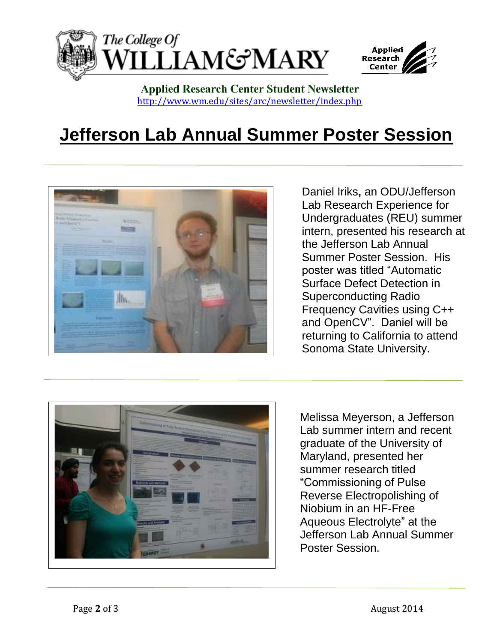



## **Applied Research Center Student Newsletter** <http://www.wm.edu/sites/arc/newsletter/index.php>

## **Jefferson Lab Annual Summer Poster Session**



Daniel Iriks**,** an ODU/Jefferson Lab Research Experience for Undergraduates (REU) summer intern, presented his research at the Jefferson Lab Annual Summer Poster Session. His poster was titled "Automatic Surface Defect Detection in Superconducting Radio Frequency Cavities using C++ and OpenCV". Daniel will be returning to California to attend Sonoma State University.



Melissa Meyerson, a Jefferson Lab summer intern and recent graduate of the University of Maryland, presented her summer research titled "Commissioning of Pulse Reverse Electropolishing of Niobium in an HF-Free Aqueous Electrolyte" at the Jefferson Lab Annual Summer Poster Session.